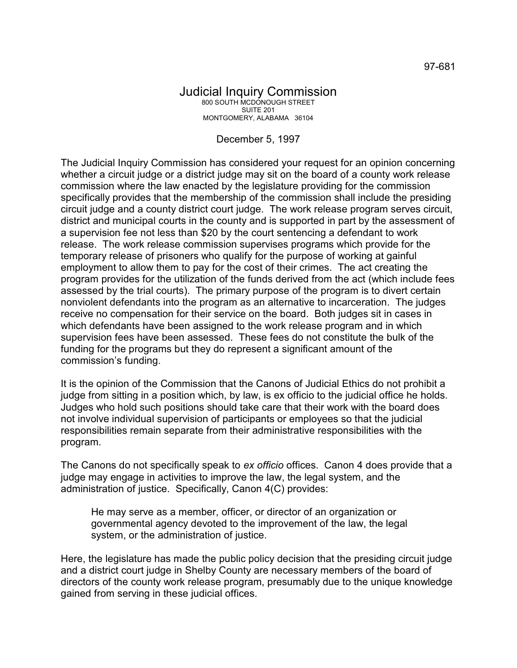## Judicial Inquiry Commission 800 SOUTH MCDONOUGH STREET SUITE 201 MONTGOMERY, ALABAMA 36104

## December 5, 1997

The Judicial Inquiry Commission has considered your request for an opinion concerning whether a circuit judge or a district judge may sit on the board of a county work release commission where the law enacted by the legislature providing for the commission specifically provides that the membership of the commission shall include the presiding circuit judge and a county district court judge. The work release program serves circuit, district and municipal courts in the county and is supported in part by the assessment of a supervision fee not less than \$20 by the court sentencing a defendant to work release. The work release commission supervises programs which provide for the temporary release of prisoners who qualify for the purpose of working at gainful employment to allow them to pay for the cost of their crimes. The act creating the program provides for the utilization of the funds derived from the act (which include fees assessed by the trial courts). The primary purpose of the program is to divert certain nonviolent defendants into the program as an alternative to incarceration. The judges receive no compensation for their service on the board. Both judges sit in cases in which defendants have been assigned to the work release program and in which supervision fees have been assessed. These fees do not constitute the bulk of the funding for the programs but they do represent a significant amount of the commission's funding.

It is the opinion of the Commission that the Canons of Judicial Ethics do not prohibit a judge from sitting in a position which, by law, is ex officio to the judicial office he holds. Judges who hold such positions should take care that their work with the board does not involve individual supervision of participants or employees so that the judicial responsibilities remain separate from their administrative responsibilities with the program.

The Canons do not specifically speak to *ex officio* offices. Canon 4 does provide that a judge may engage in activities to improve the law, the legal system, and the administration of justice. Specifically, Canon 4(C) provides:

He may serve as a member, officer, or director of an organization or governmental agency devoted to the improvement of the law, the legal system, or the administration of justice.

Here, the legislature has made the public policy decision that the presiding circuit judge and a district court judge in Shelby County are necessary members of the board of directors of the county work release program, presumably due to the unique knowledge gained from serving in these judicial offices.